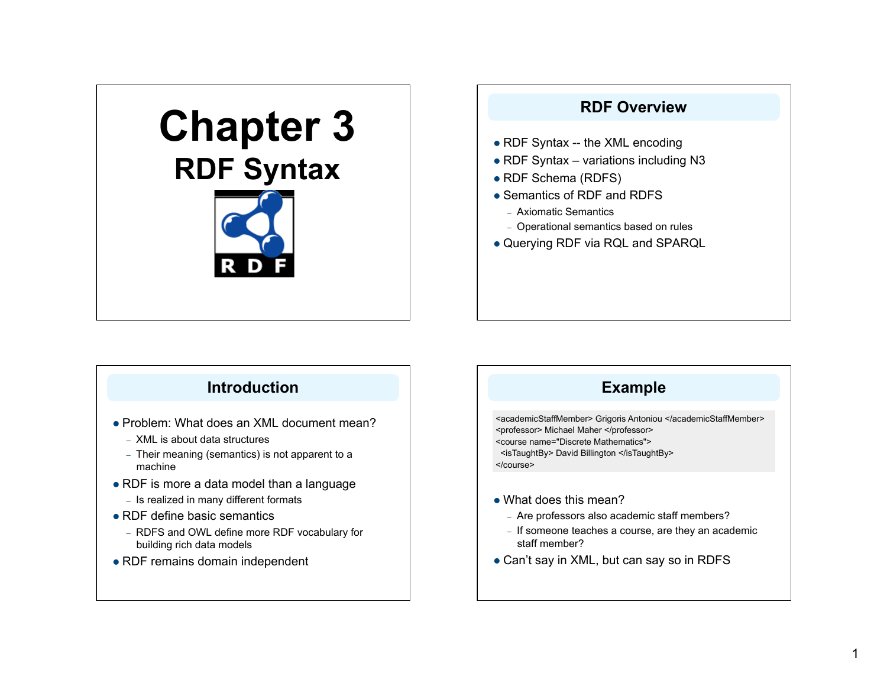# **Chapter 3 RDF Syntax**



## **RDF Overview**

- RDF Syntax -- the XML encoding
- RDF Syntax variations including N3
- RDF Schema (RDFS)
- Semantics of RDF and RDFS
	- Axiomatic Semantics
	- Operational semantics based on rules
- Querying RDF via RQL and SPARQL

### **Introduction**

- Problem: What does an XML document mean?
	- XML is about data structures
	- Their meaning (semantics) is not apparent to a machine
- RDF is more a data model than a language
	- Is realized in many different formats
- RDF define basic semantics
	- RDFS and OWL define more RDF vocabulary for building rich data models
- RDF remains domain independent

## **Example**

<academicStaffMember> Grigoris Antoniou </academicStaffMember> <professor> Michael Maher </professor> <course name="Discrete Mathematics"> <isTaughtBy> David Billington </isTaughtBy> </course>

- What does this mean?
	- Are professors also academic staff members?
	- If someone teaches a course, are they an academic staff member?
- Can't say in XML, but can say so in RDFS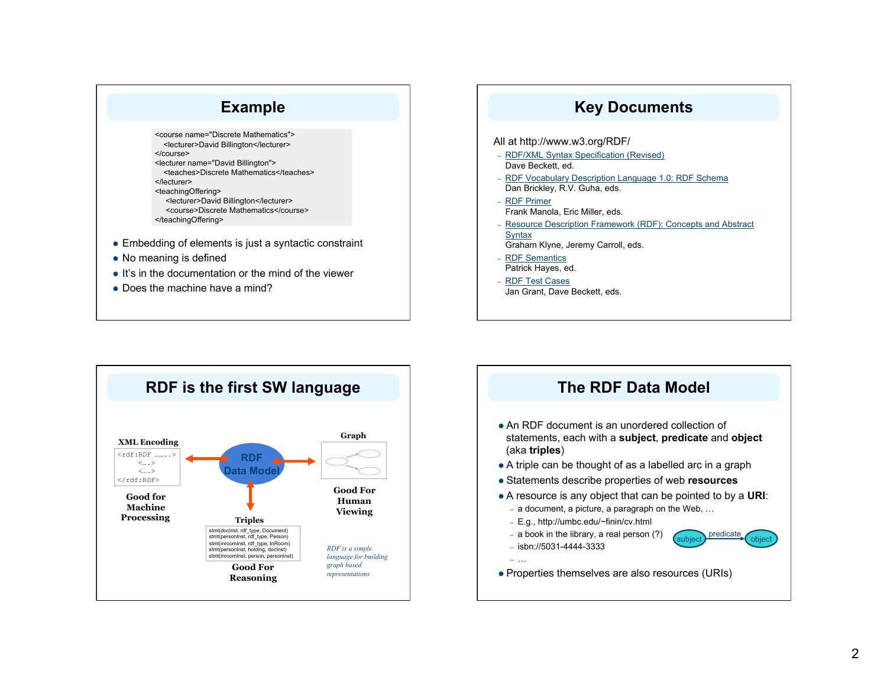

### **Key Documents**

#### All at http://www.w3.org/RDF/ – RDF/XML Syntax Specification (Revised) Dave Beckett, ed. – RDF Vocabulary Description Language 1.0: RDF Schema Dan Brickley, R.V. Guha, eds. – RDF Primer Frank Manola, Eric Miller, eds. – Resource Description Framework (RDF): Concepts and Abstract **Syntax** Graham Klyne, Jeremy Carroll, eds. – RDF Semantics Patrick Hayes, ed. – RDF Test Cases Jan Grant, Dave Beckett, eds.



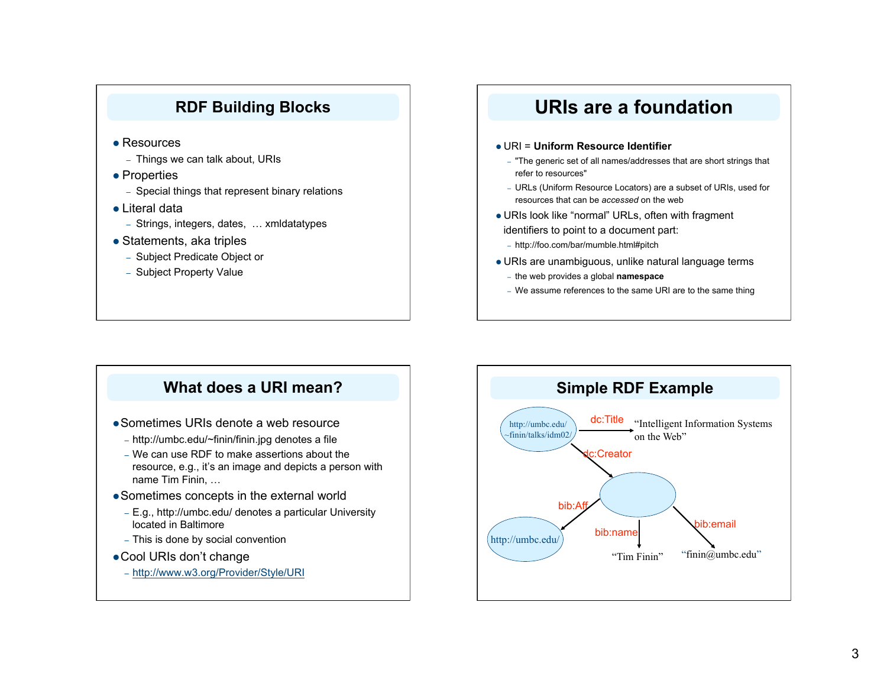### **RDF Building Blocks**

- Resources
	- Things we can talk about, URIs
- Properties
	- Special things that represent binary relations
- Literal data
	- Strings, integers, dates, … xmldatatypes
- Statements, aka triples
	- Subject Predicate Object or
	- Subject Property Value

# **URIs are a foundation**

#### URI = **Uniform Resource Identifier**

- "The generic set of all names/addresses that are short strings that refer to resources"
- URLs (Uniform Resource Locators) are a subset of URIs, used for resources that can be *accessed* on the web
- URIs look like "normal" URLs, often with fragment identifiers to point to a document part:
- http://foo.com/bar/mumble.html#pitch
- URIs are unambiguous, unlike natural language terms
- the web provides a global **namespace**
- We assume references to the same URI are to the same thing

### **What does a URI mean?**

- Sometimes URIs denote a web resource
	- http://umbc.edu/~finin/finin.jpg denotes a file
	- We can use RDF to make assertions about the resource, e.g., it's an image and depicts a person with name Tim Finin, …
- Sometimes concepts in the external world
	- E.g., http://umbc.edu/ denotes a particular University located in Baltimore
	- This is done by social convention
- Cool URIs don't change
	- http://www.w3.org/Provider/Style/URI

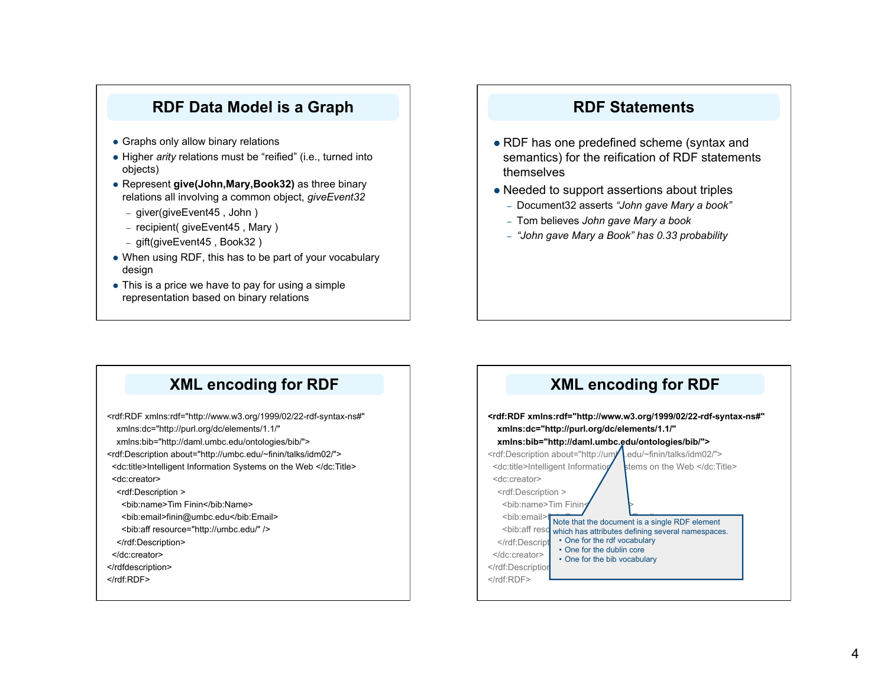### **RDF Data Model is a Graph**

- Graphs only allow binary relations
- Higher *arity* relations must be "reified" (i.e., turned into objects)
- Represent **give(John,Mary,Book32)** as three binary relations all involving a common object, *giveEvent32* 
	- giver(giveEvent45 , John )
	- recipient( giveEvent45 , Mary )
	- gift(giveEvent45 , Book32 )
- When using RDF, this has to be part of your vocabulary design
- This is a price we have to pay for using a simple representation based on binary relations

### **RDF Statements**

- RDF has one predefined scheme (syntax and semantics) for the reification of RDF statements themselves
- Needed to support assertions about triples
	- Document32 asserts *"John gave Mary a book"*
	- Tom believes *John gave Mary a book*
	- *"John gave Mary a Book" has 0.33 probability*

### **XML encoding for RDF**

<rdf:RDF xmlns:rdf="http://www.w3.org/1999/02/22-rdf-syntax-ns#" xmlns:dc="http://purl.org/dc/elements/1.1/"

xmlns:bib="http://daml.umbc.edu/ontologies/bib/">

<rdf:Description about="http://umbc.edu/~finin/talks/idm02/">

 <dc:title>Intelligent Information Systems on the Web </dc:Title> <dc:creator>

<rdf:Description >

<bib:name>Tim Finin</bib:Name>

<br />bib:email>finin@umbc.edu</bib:Email>

<bib:aff resource="http://umbc.edu/" />

</rdf:Description>

</dc:creator>

</rdfdescription>

</rdf:RDF>

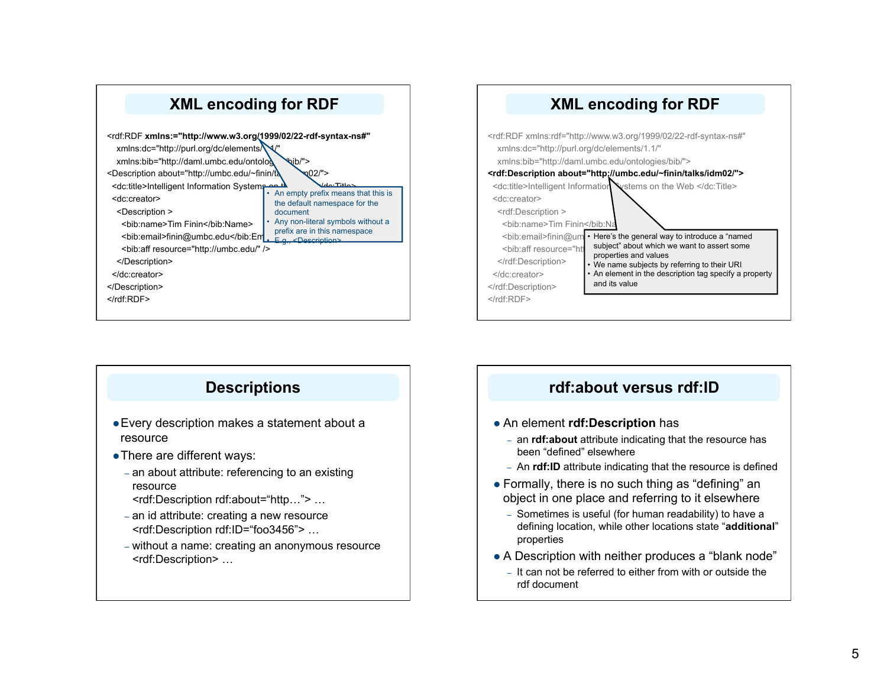



### **Descriptions**

- Every description makes a statement about a resource
- There are different ways:
	- an about attribute: referencing to an existing resource
		- <rdf:Description rdf:about="http…"> …
	- an id attribute: creating a new resource <rdf:Description rdf:ID="foo3456"> …
	- without a name: creating an anonymous resource <rdf:Description> …

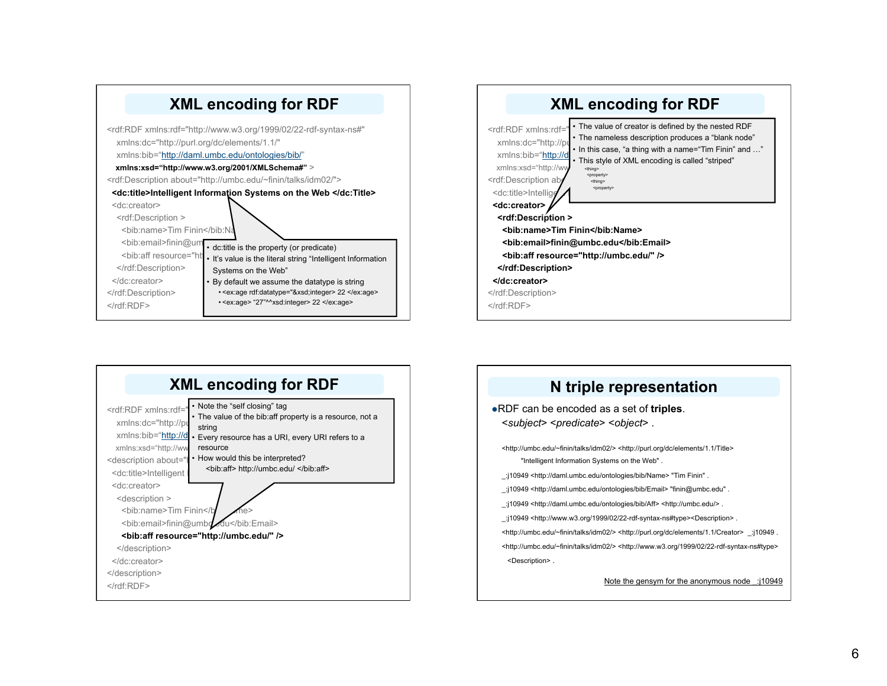





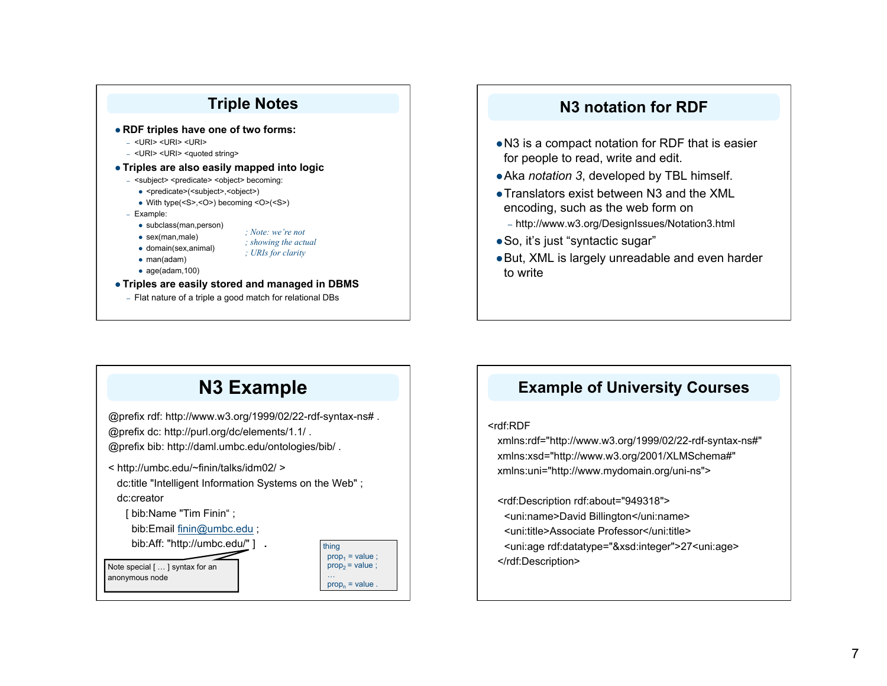

### **N3 notation for RDF**

- N3 is a compact notation for RDF that is easier for people to read, write and edit.
- Aka *notation 3*, developed by TBL himself.
- Translators exist between N3 and the XML encoding, such as the web form on
	- http://www.w3.org/DesignIssues/Notation3.html
- So, it's just "syntactic sugar"
- But, XML is largely unreadable and even harder to write

# **N3 Example**

@prefix rdf: http://www.w3.org/1999/02/22-rdf-syntax-ns# . @prefix dc: http://purl.org/dc/elements/1.1/ .

@prefix bib: http://daml.umbc.edu/ontologies/bib/ .

< http://umbc.edu/~finin/talks/idm02/ >

 dc:title "Intelligent Information Systems on the Web" ; dc:creator

[ bib:Name "Tim Finin" ;

bib:Email finin@umbc.edu ;

bib:Aff: "http://umbc.edu/" ] **.** 

Note special [ … ] syntax for an anonymous node

thing  $prop_1 = value$ ;  $prop_2 = value$ ; …  $prop<sub>n</sub> = value$ 

### **Example of University Courses**

#### <rdf:RDF

xmlns:rdf="http://www.w3.org/1999/02/22-rdf-syntax-ns#" xmlns:xsd="http://www.w3.org/2001/XLMSchema#" xmlns:uni="http://www.mydomain.org/uni-ns">

<rdf:Description rdf:about="949318"> <uni:name>David Billington</uni:name> <uni:title>Associate Professor</uni:title> <uni:age rdf:datatype="&xsd:integer">27<uni:age> </rdf:Description>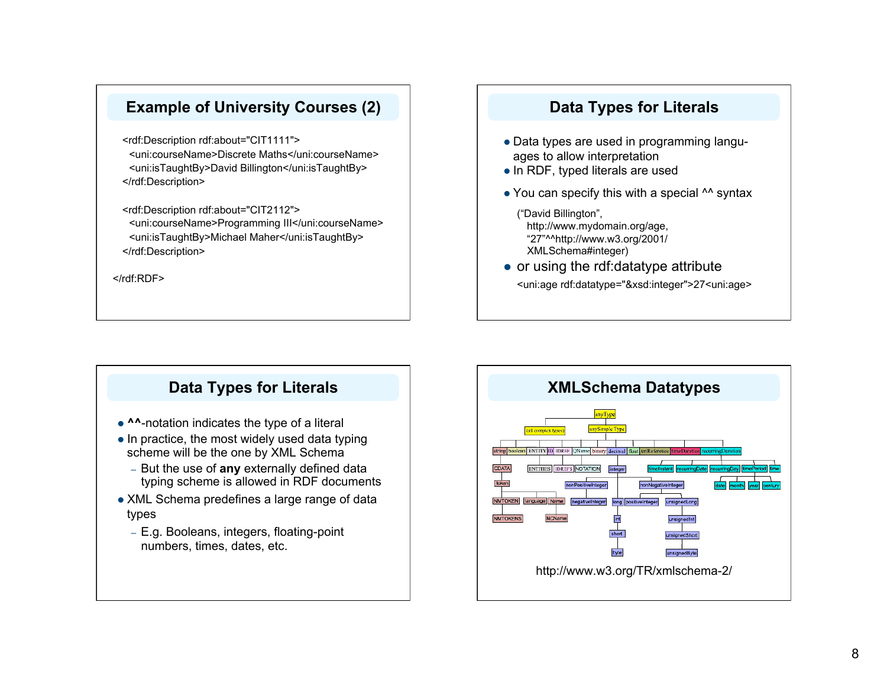### **Example of University Courses (2)**

<rdf:Description rdf:about="CIT1111"> <uni:courseName>Discrete Maths</uni:courseName> <uni:isTaughtBy>David Billington</uni:isTaughtBy> </rdf:Description>

<rdf:Description rdf:about="CIT2112"> <uni:courseName>Programming III</uni:courseName> <uni:isTaughtBy>Michael Maher</uni:isTaughtBy> </rdf:Description>

</rdf:RDF>

### **Data Types for Literals**

- Data types are used in programming languages to allow interpretation
- In RDF, typed literals are used
- You can specify this with a special <sup>^^</sup> syntax

("David Billington", http://www.mydomain.org/age, "27"^^http://www.w3.org/2001/ XMLSchema#integer)

• or using the rdf:datatype attribute

<uni:age rdf:datatype="&xsd:integer">27<uni:age>

### **Data Types for Literals**

- **^^**-notation indicates the type of a literal
- $\bullet$  In practice, the most widely used data typing scheme will be the one by XML Schema
	- But the use of **any** externally defined data typing scheme is allowed in RDF documents
- XML Schema predefines a large range of data types
	- E.g. Booleans, integers, floating-point numbers, times, dates, etc.

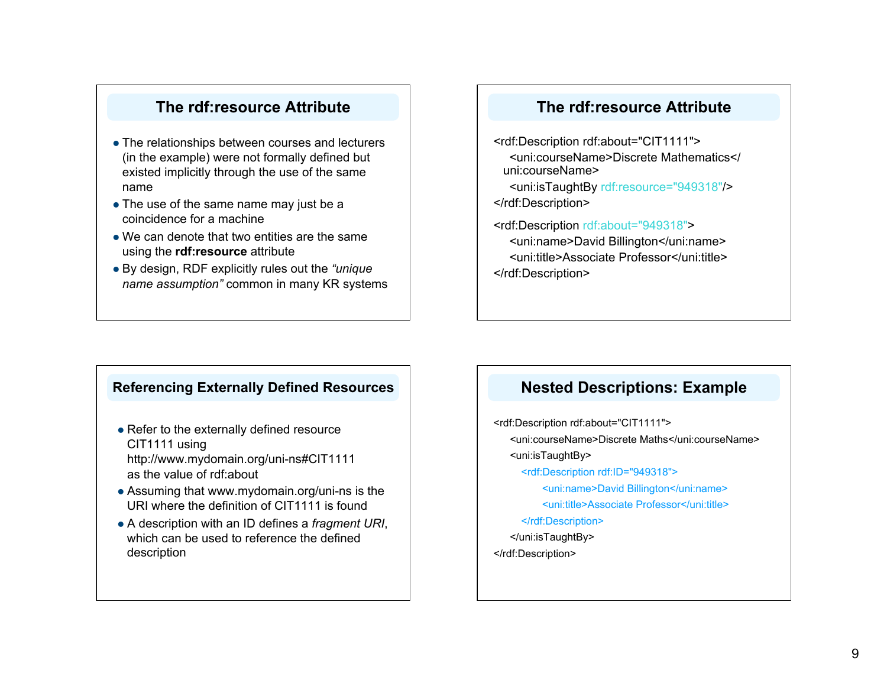### **The rdf:resource Attribute**

- The relationships between courses and lecturers (in the example) were not formally defined but existed implicitly through the use of the same name
- The use of the same name may just be a coincidence for a machine
- We can denote that two entities are the same using the **rdf:resource** attribute
- By design, RDF explicitly rules out the *"unique name assumption"* common in many KR systems

### **The rdf:resource Attribute**

<rdf:Description rdf:about="CIT1111"> <uni:courseName>Discrete Mathematics</ uni:courseName> <uni:isTaughtBy rdf:resource="949318"/> </rdf:Description>

<rdf:Description rdf:about="949318"> <uni:name>David Billington</uni:name> <uni:title>Associate Professor</uni:title> </rdf:Description>

### **Referencing Externally Defined Resources**

• Refer to the externally defined resource CIT1111 using http://www.mydomain.org/uni-ns#CIT1111

as the value of rdf:about

- Assuming that www.mydomain.org/uni-ns is the URI where the definition of CIT1111 is found
- A description with an ID defines a *fragment URI*, which can be used to reference the defined description

### **Nested Descriptions: Example**

<rdf:Description rdf:about="CIT1111"> <uni:courseName>Discrete Maths</uni:courseName> <uni:isTaughtBy> <rdf:Description rdf:ID="949318"> <uni:name>David Billington</uni:name> <uni:title>Associate Professor</uni:title> </rdf:Description> </uni:isTaughtBy> </rdf:Description>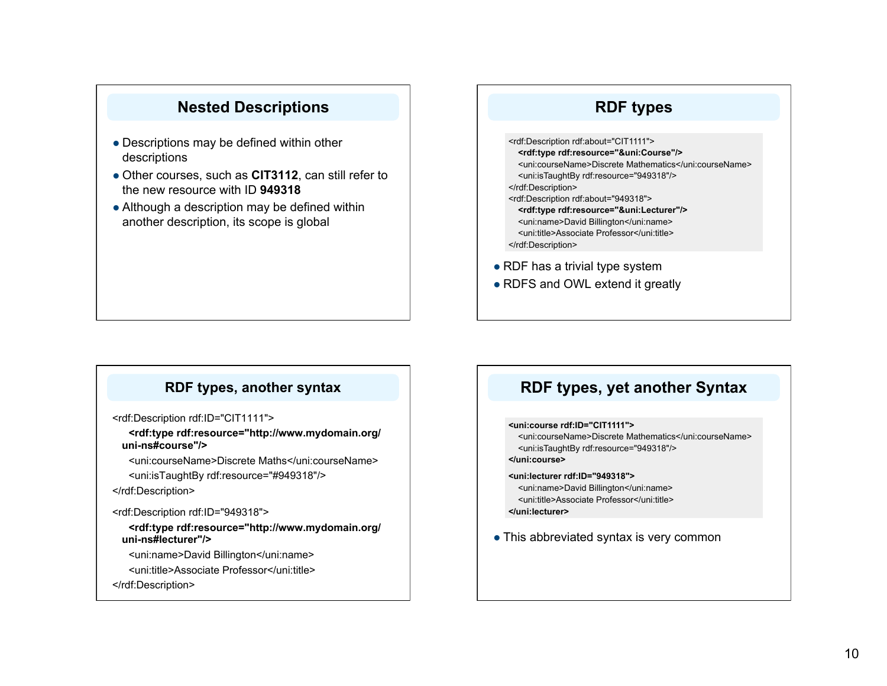### **Nested Descriptions**

- Descriptions may be defined within other descriptions
- Other courses, such as **CIT3112**, can still refer to the new resource with ID **949318**
- Although a description may be defined within another description, its scope is global

### **RDF types**

<rdf:Description rdf:about="CIT1111"> **<rdf:type rdf:resource="&uni:Course"/>**  <uni:courseName>Discrete Mathematics</uni:courseName> <uni:isTaughtBy rdf:resource="949318"/> </rdf:Description> <rdf:Description rdf:about="949318"> **<rdf:type rdf:resource="&uni:Lecturer"/>**  <uni:name>David Billington</uni:name> <uni:title>Associate Professor</uni:title> </rdf:Description>

• RDF has a trivial type system

• RDFS and OWL extend it greatly

### **RDF types, another syntax**

<rdf:Description rdf:ID="CIT1111">

**<rdf:type rdf:resource="http://www.mydomain.org/ uni-ns#course"/>** 

<uni:courseName>Discrete Maths</uni:courseName> <uni:isTaughtBy rdf:resource="#949318"/>

</rdf:Description>

<rdf:Description rdf:ID="949318">

**<rdf:type rdf:resource="http://www.mydomain.org/ uni-ns#lecturer"/>** 

<uni:name>David Billington</uni:name>

<uni:title>Associate Professor</uni:title>

</rdf:Description>

### **RDF types, yet another Syntax**

#### **<uni:course rdf:ID="CIT1111">**

 <uni:courseName>Discrete Mathematics</uni:courseName> <uni:isTaughtBy rdf:resource="949318"/> **</uni:course>** 

**<uni:lecturer rdf:ID="949318">**  <uni:name>David Billington</uni:name> <uni:title>Associate Professor</uni:title>

**</uni:lecturer>** 

This abbreviated syntax is very common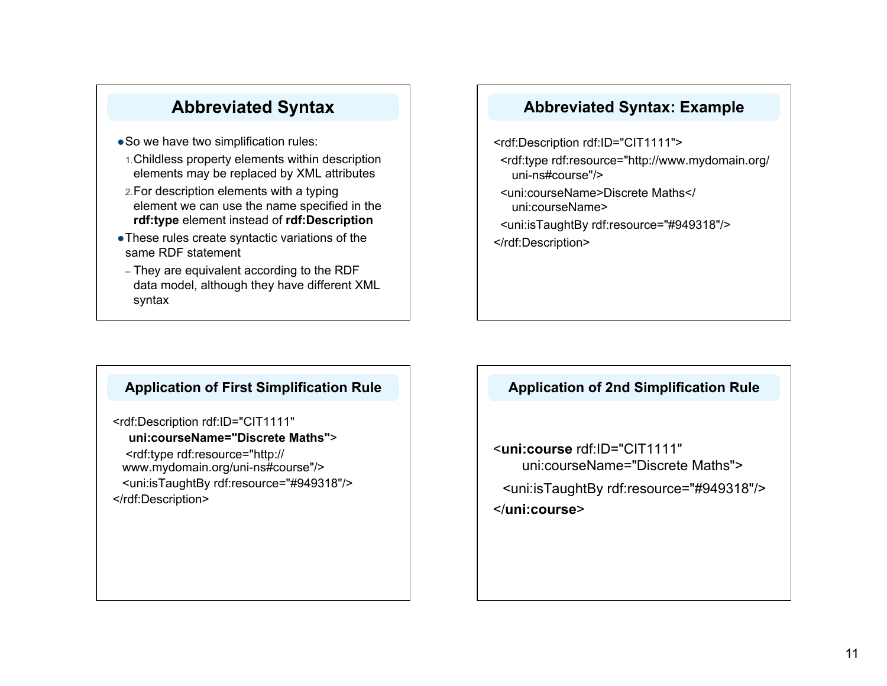# **Abbreviated Syntax**

- So we have two simplification rules:
- 1.Childless property elements within description elements may be replaced by XML attributes
- 2.For description elements with a typing element we can use the name specified in the **rdf:type** element instead of **rdf:Description**
- These rules create syntactic variations of the same RDF statement
- They are equivalent according to the RDF data model, although they have different XML syntax

### **Abbreviated Syntax: Example**

<rdf:Description rdf:ID="CIT1111"> <rdf:type rdf:resource="http://www.mydomain.org/ uni-ns#course"/> <uni:courseName>Discrete Maths</ uni:courseName>

<uni:isTaughtBy rdf:resource="#949318"/>

</rdf:Description>

### **Application of First Simplification Rule**

<rdf:Description rdf:ID="CIT1111" **uni:courseName="Discrete Maths"**> <rdf:type rdf:resource="http:// www.mydomain.org/uni-ns#course"/> <uni:isTaughtBy rdf:resource="#949318"/> </rdf:Description>

### **Application of 2nd Simplification Rule**

<**uni:course** rdf:ID="CIT1111" uni:courseName="Discrete Maths">

<uni:isTaughtBy rdf:resource="#949318"/> </**uni:course**>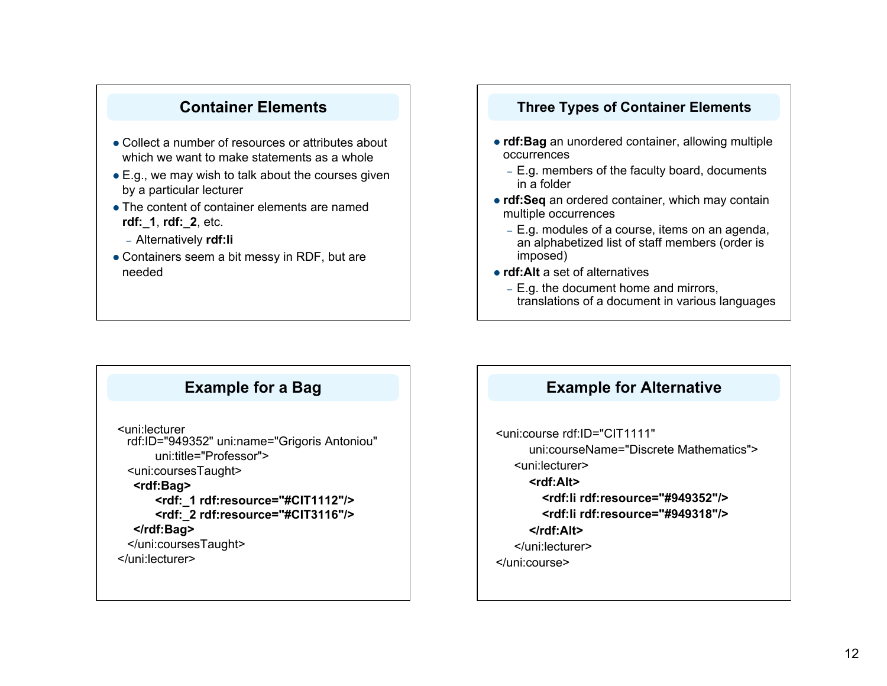### **Container Elements**

- Collect a number of resources or attributes about which we want to make statements as a whole
- E.g., we may wish to talk about the courses given by a particular lecturer
- The content of container elements are named **rdf:\_1**, **rdf:\_2**, etc.
	- Alternatively **rdf:li**
- Containers seem a bit messy in RDF, but are needed

### **Three Types of Container Elements**

- **rdf:Bag** an unordered container, allowing multiple occurrences
	- E.g. members of the faculty board, documents in a folder
- **rdf:Seq** an ordered container, which may contain multiple occurrences
	- E.g. modules of a course, items on an agenda, an alphabetized list of staff members (order is imposed)
- **rdf:Alt** a set of alternatives
	- E.g. the document home and mirrors, translations of a document in various languages

### **Example for a Bag**

<uni:lecturer rdf:ID="949352" uni:name="Grigoris Antoniou" uni:title="Professor"> <uni:coursesTaught> **<rdf:Bag> <rdf:\_1 rdf:resource="#CIT1112"/> <rdf:\_2 rdf:resource="#CIT3116"/> </rdf:Bag>**  </uni:coursesTaught> </uni:lecturer>

**Example for Alternative**

<uni:course rdf:ID="CIT1111" uni:courseName="Discrete Mathematics"> <uni:lecturer> **<rdf:Alt> <rdf:li rdf:resource="#949352"/> <rdf:li rdf:resource="#949318"/> </rdf:Alt>**  </uni:lecturer> </uni:course>

### 12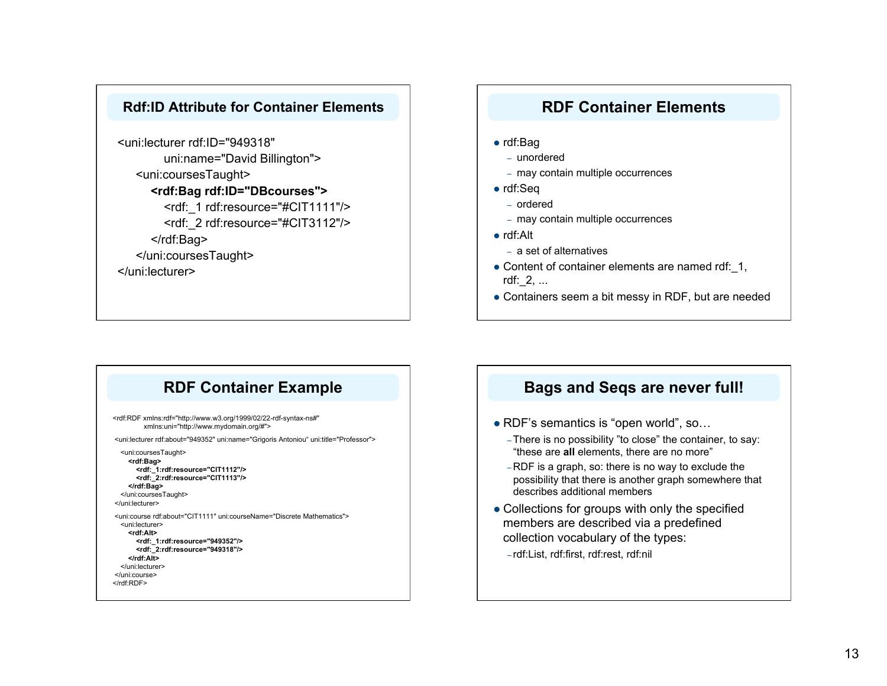### **Rdf:ID Attribute for Container Elements**

<uni:lecturer rdf:ID="949318" uni:name="David Billington"> <uni:coursesTaught> **<rdf:Bag rdf:ID="DBcourses">**  <rdf: 1 rdf:resource="#CIT1111"/> <rdf: 2 rdf:resource="#CIT3112"/> </rdf:Bag> </uni:coursesTaught> </uni:lecturer>

### **RDF Container Elements**

- rdf:Bag
	- unordered
	- may contain multiple occurrences
- rdf:Seq
	- ordered
	- may contain multiple occurrences
- rdf:Alt
	- a set of alternatives
- Content of container elements are named rdf: 1, rdf:\_2, ...
- Containers seem a bit messy in RDF, but are needed

### **RDF Container Example**

<rdf:RDF xmlns:rdf="http://www.w3.org/1999/02/22-rdf-syntax-ns#" xmlns:uni="http://www.mydomain.org/#"> <uni:lecturer rdf:about="949352" uni:name="Grigoris Antoniou" uni:title="Professor"> <uni:coursesTaught>  **<rdf:Bag> <rdf:\_1:rdf:resource="CIT1112"/> <rdf:\_2:rdf:resource="CIT1113"/> </rdf:Bag>**  </uni:coursesTaught> </uni:lecturer> <uni:course rdf:about="CIT1111" uni:courseName="Discrete Mathematics"> <uni:lecturer>  **<rdf:Alt> <rdf:\_1:rdf:resource="949352"/> <rdf:\_2:rdf:resource="949318"/> </rdf:Alt>**  </uni:lecturer> </uni:course> </rdf:RDF>

### **Bags and Seqs are never full!**

- RDF's semantics is "open world", so...
	- There is no possibility "to close" the container, to say: "these are **all** elements, there are no more"
	- RDF is a graph, so: there is no way to exclude the possibility that there is another graph somewhere that describes additional members
- Collections for groups with only the specified members are described via a predefined collection vocabulary of the types:
	- rdf:List, rdf:first, rdf:rest, rdf:nil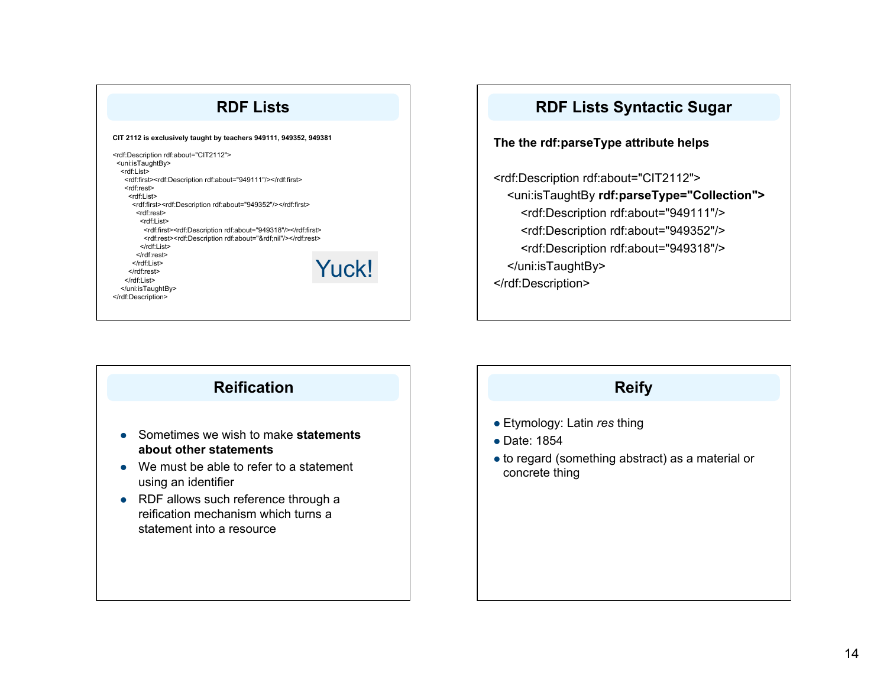### **RDF Lists**

#### **CIT 2112 is exclusively taught by teachers 949111, 949352, 949381**

| <rdf:description rdf:about="CIT2112"><br/><uni:istaughtby></uni:istaughtby></rdf:description> |              |
|-----------------------------------------------------------------------------------------------|--------------|
| <rdf:list></rdf:list>                                                                         |              |
| <rdf:first><rdf:description rdf:about="949111"></rdf:description></rdf:first>                 |              |
| <rdf:rest></rdf:rest>                                                                         |              |
| <rdf:list></rdf:list>                                                                         |              |
| <rdf:first><rdf:description rdf:about="949352"></rdf:description></rdf:first>                 |              |
| <rdf:rest></rdf:rest>                                                                         |              |
| <rdf:list></rdf:list>                                                                         |              |
| <rdf:first><rdf:description rdf:about="949318"></rdf:description></rdf:first>                 |              |
| <rdf:rest><rdf:description rdf:about="&amp;rdf;nil"></rdf:description></rdf:rest>             |              |
| $\le$ /rdf:List>                                                                              |              |
|                                                                                               |              |
|                                                                                               |              |
|                                                                                               | <b>Yuck!</b> |
|                                                                                               |              |
|                                                                                               |              |
|                                                                                               |              |
|                                                                                               |              |



# **Reification** Sometimes we wish to make **statements about other statements** • We must be able to refer to a statement using an identifier • RDF allows such reference through a reification mechanism which turns a statement into a resource

### **Reify**

- Etymology: Latin *res* thing
- Date: 1854
- to regard (something abstract) as a material or concrete thing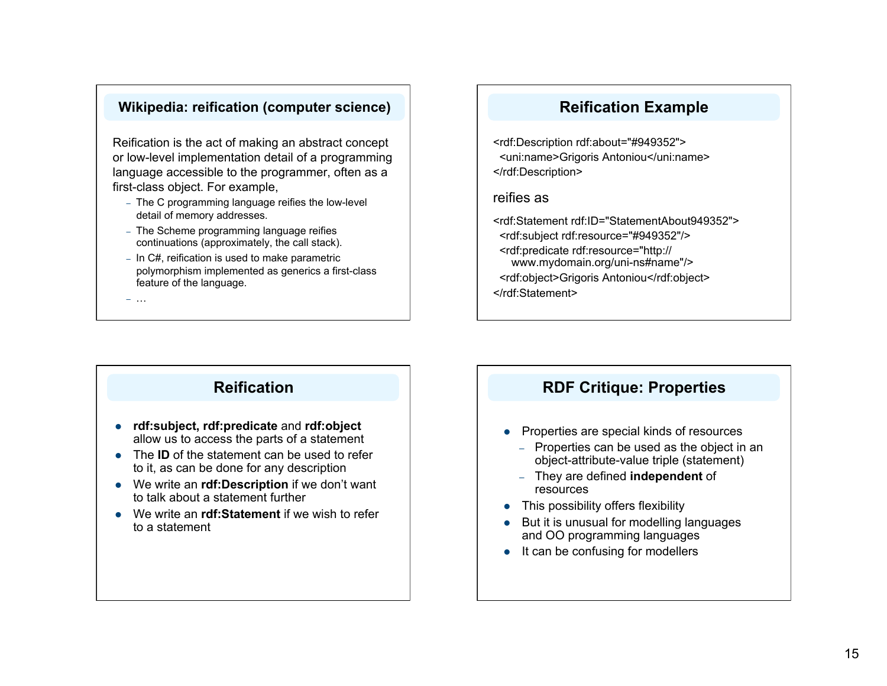### **Wikipedia: reification (computer science)**

Reification is the act of making an abstract concept or low-level implementation detail of a programming language accessible to the programmer, often as a first-class object. For example,

- The C programming language reifies the low-level detail of memory addresses.
- The Scheme programming language reifies continuations (approximately, the call stack).
- In C#, reification is used to make parametric polymorphism implemented as generics a first-class feature of the language.

– …

### **Reification Example**

<rdf:Description rdf:about="#949352"> <uni:name>Grigoris Antoniou</uni:name> </rdf:Description>

### reifies as

<rdf:Statement rdf:ID="StatementAbout949352"> <rdf:subject rdf:resource="#949352"/> <rdf:predicate rdf:resource="http:// www.mydomain.org/uni-ns#name"/> <rdf:object>Grigoris Antoniou</rdf:object> </rdf:Statement>

### **Reification**

- **rdf:subject, rdf:predicate** and **rdf:object** allow us to access the parts of a statement
- The **ID** of the statement can be used to refer to it, as can be done for any description
- We write an **rdf:Description** if we don't want to talk about a statement further
- We write an **rdf:Statement** if we wish to refer to a statement

### **RDF Critique: Properties**

- Properties are special kinds of resources
	- Properties can be used as the object in an object-attribute-value triple (statement)
	- They are defined **independent** of resources
- This possibility offers flexibility
- But it is unusual for modelling languages and OO programming languages
- $\bullet$  It can be confusing for modellers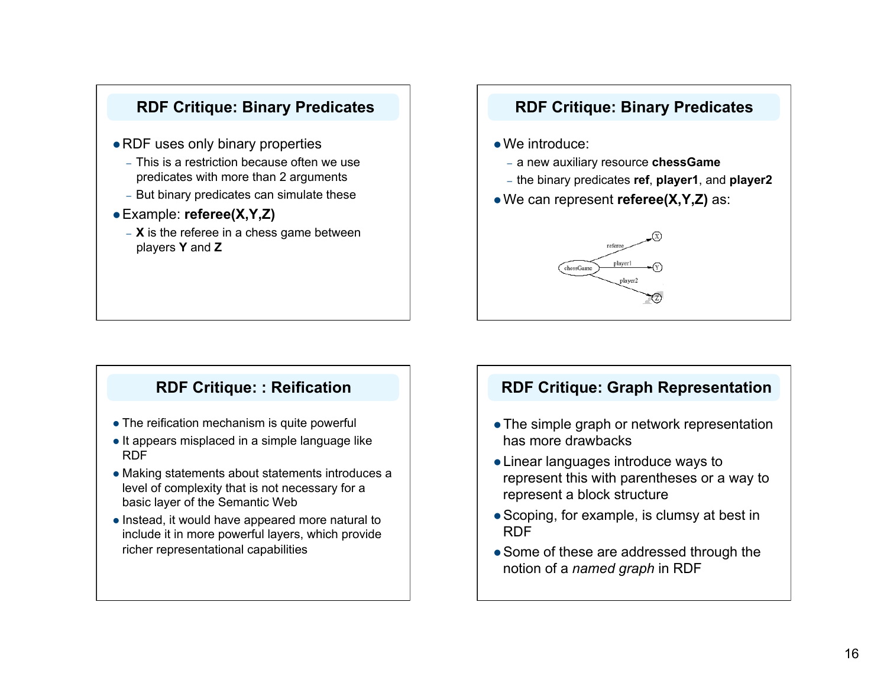

### **RDF Critique: Binary Predicates**

- We introduce:
	- a new auxiliary resource **chessGame**
	- the binary predicates **ref**, **player1**, and **player2**
- We can represent **referee(X,Y,Z)** as:



### **RDF Critique: : Reification**

- The reification mechanism is quite powerful
- $\bullet$  It appears misplaced in a simple language like RDF
- Making statements about statements introduces a level of complexity that is not necessary for a basic layer of the Semantic Web
- Instead, it would have appeared more natural to include it in more powerful layers, which provide richer representational capabilities

## **RDF Critique: Graph Representation**

- The simple graph or network representation has more drawbacks
- Linear languages introduce ways to represent this with parentheses or a way to represent a block structure
- Scoping, for example, is clumsy at best in RDF
- Some of these are addressed through the notion of a *named graph* in RDF